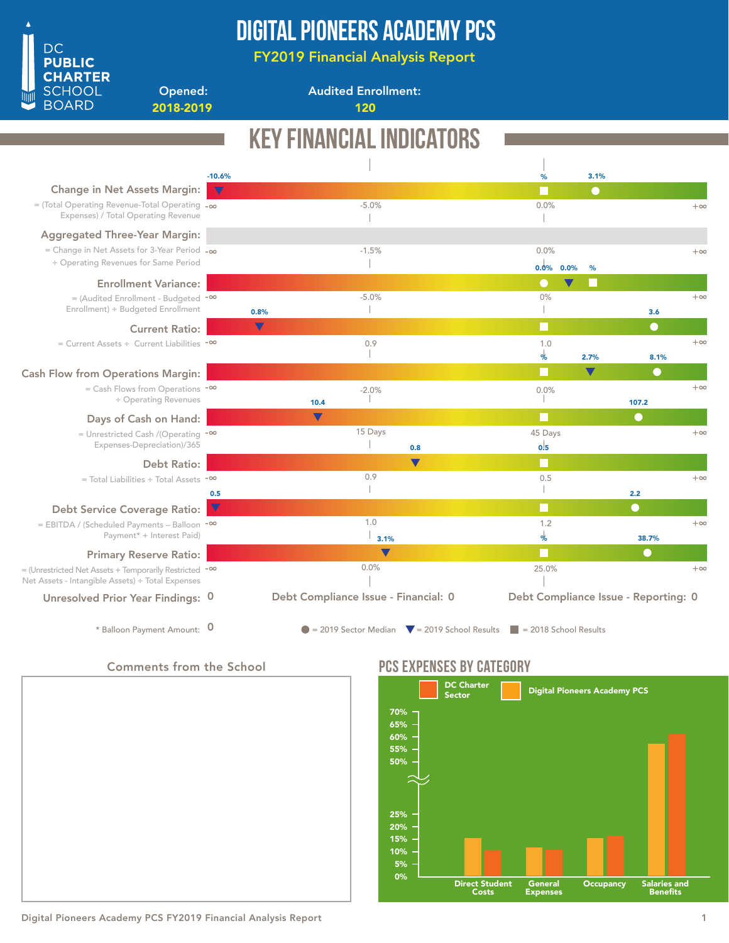

## Digital Pioneers Academy PCS

FY2019 Financial Analysis Report

2018-2019 120

Opened:

Audited Enrollment:

|                                                                                                            |                     | <b>KEY FINANCIAL INDICATORS</b>                                |          |                               |                                      |           |
|------------------------------------------------------------------------------------------------------------|---------------------|----------------------------------------------------------------|----------|-------------------------------|--------------------------------------|-----------|
|                                                                                                            | $-10.6%$            |                                                                | %        | 3.1%                          |                                      |           |
| <b>Change in Net Assets Margin:</b>                                                                        | $\overline{\nabla}$ |                                                                | m        | $\bullet$                     |                                      |           |
| $=$ (Total Operating Revenue-Total Operating $-\infty$<br>Expenses) / Total Operating Revenue              |                     | $-5.0%$                                                        | 0.0%     |                               |                                      | $+\infty$ |
| <b>Aggregated Three-Year Margin:</b>                                                                       |                     |                                                                |          |                               |                                      |           |
| = Change in Net Assets for 3-Year Period $-\infty$                                                         |                     | $-1.5%$                                                        | 0.0%     |                               |                                      | $+\infty$ |
| ÷ Operating Revenues for Same Period                                                                       |                     |                                                                | 0.0%     | 0.0%<br>%                     |                                      |           |
| <b>Enrollment Variance:</b>                                                                                |                     |                                                                | $\Box$   |                               |                                      |           |
| = (Audited Enrollment - Budgeted -∞                                                                        |                     | $-5.0%$                                                        | 0%       |                               |                                      | $+\infty$ |
| Enrollment) ÷ Budgeted Enrollment                                                                          |                     | 0.8%                                                           |          |                               | 3.6                                  |           |
| <b>Current Ratio:</b>                                                                                      |                     | $\blacktriangledown$                                           | П        |                               | $\bullet$                            |           |
| = Current Assets ÷ Current Liabilities -∞                                                                  |                     | 0.9                                                            | 1.0<br>% | 2.7%                          | 8.1%                                 | $+\infty$ |
| <b>Cash Flow from Operations Margin:</b>                                                                   |                     |                                                                | Ш        | v                             | $\scriptstyle\bullet$                |           |
| $=$ Cash Flows from Operations $-\infty$<br>÷ Operating Revenues                                           |                     | $-2.0%$<br>10.4                                                | 0.0%     |                               | 107.2                                | $+\infty$ |
|                                                                                                            |                     | $\blacktriangledown$                                           | n        |                               | $\bullet$                            |           |
| Days of Cash on Hand:<br>= Unrestricted Cash /(Operating $-$ <sup>00</sup>                                 |                     | 15 Days                                                        | 45 Days  |                               |                                      | $+\infty$ |
| Expenses-Depreciation)/365                                                                                 |                     | 0.8                                                            | 0.5      |                               |                                      |           |
| <b>Debt Ratio:</b>                                                                                         |                     | $\blacktriangledown$                                           | H        |                               |                                      |           |
| $=$ Total Liabilities $\div$ Total Assets $\sim$                                                           |                     | 0.9                                                            | 0.5      |                               |                                      | $+\infty$ |
|                                                                                                            | 0.5<br>$\nabla$     |                                                                | m        |                               | 2.2<br>$\bullet$                     |           |
| <b>Debt Service Coverage Ratio:</b><br>= EBITDA / (Scheduled Payments - Balloon -00                        |                     | 1.0                                                            | 1.2      |                               |                                      | $+\infty$ |
| Payment* + Interest Paid)                                                                                  |                     | 3.1%                                                           | %        |                               | 38.7%                                |           |
| <b>Primary Reserve Ratio:</b>                                                                              |                     | $\blacktriangledown$                                           | n        |                               | $\bf \color{red}\bullet$             |           |
| = (Unrestricted Net Assets + Temporarily Restricted -∞<br>Net Assets - Intangible Assets) ÷ Total Expenses |                     | 0.0%                                                           | 25.0%    |                               |                                      | $+\infty$ |
| Unresolved Prior Year Findings: 0                                                                          |                     | Debt Compliance Issue - Financial: 0                           |          |                               | Debt Compliance Issue - Reporting: 0 |           |
| * Balloon Payment Amount: 0                                                                                |                     | $\bullet$ = 2019 Sector Median $\bullet$ = 2019 School Results |          | $\vert$ = 2018 School Results |                                      |           |

### Comments from the School



## PCS EXPENSES BY CATEGORY



### Digital Pioneers Academy PCS FY2019 Financial Analysis Report